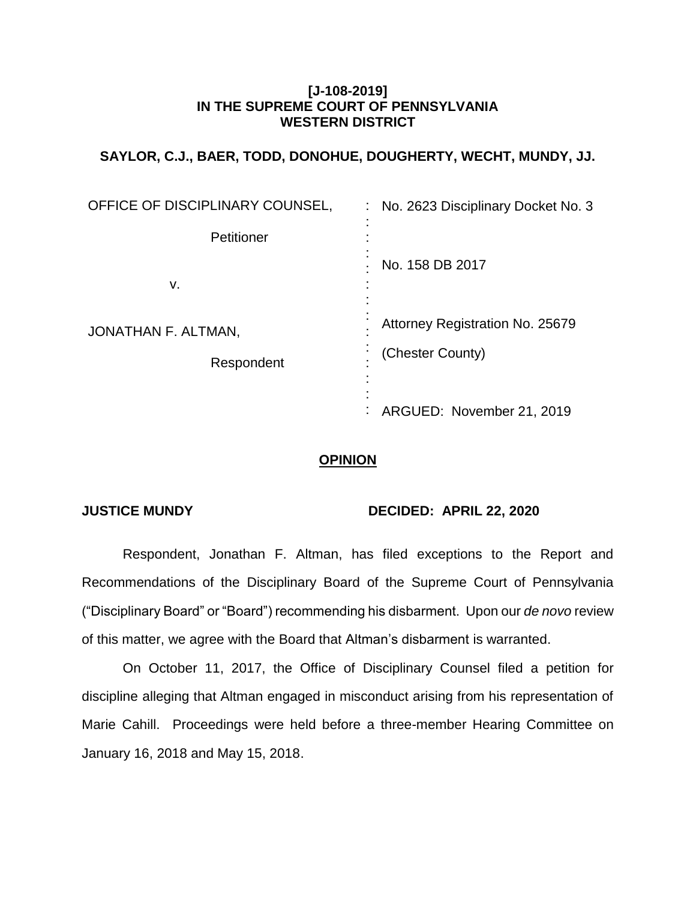# **[J-108-2019] IN THE SUPREME COURT OF PENNSYLVANIA WESTERN DISTRICT**

# **SAYLOR, C.J., BAER, TODD, DONOHUE, DOUGHERTY, WECHT, MUNDY, JJ.**

| OFFICE OF DISCIPLINARY COUNSEL, | No. 2623 Disciplinary Docket No. 3 |
|---------------------------------|------------------------------------|
| Petitioner                      |                                    |
|                                 | No. 158 DB 2017                    |
| v.                              |                                    |
| JONATHAN F. ALTMAN,             | Attorney Registration No. 25679    |
| Respondent                      | (Chester County)                   |
|                                 |                                    |
|                                 | : ARGUED: November 21, 2019        |

### **OPINION**

### **JUSTICE MUNDY DECIDED: APRIL 22, 2020**

Respondent, Jonathan F. Altman, has filed exceptions to the Report and Recommendations of the Disciplinary Board of the Supreme Court of Pennsylvania ("Disciplinary Board" or "Board") recommending his disbarment. Upon our *de novo* review of this matter, we agree with the Board that Altman's disbarment is warranted.

On October 11, 2017, the Office of Disciplinary Counsel filed a petition for discipline alleging that Altman engaged in misconduct arising from his representation of Marie Cahill. Proceedings were held before a three-member Hearing Committee on January 16, 2018 and May 15, 2018.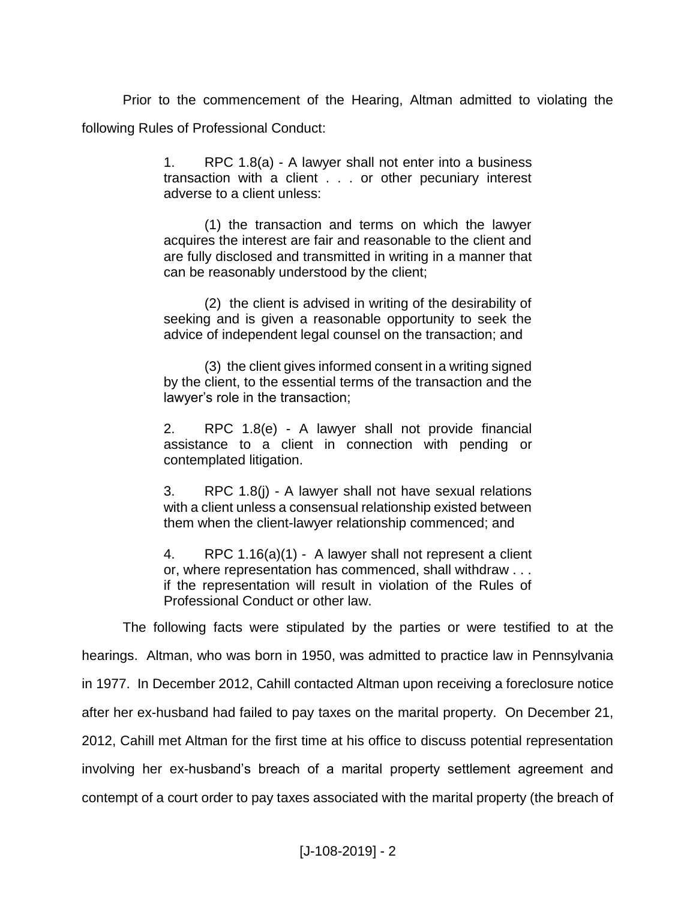Prior to the commencement of the Hearing, Altman admitted to violating the following Rules of Professional Conduct:

> 1. RPC 1.8(a) - A lawyer shall not enter into a business transaction with a client . . . or other pecuniary interest adverse to a client unless:

> (1) the transaction and terms on which the lawyer acquires the interest are fair and reasonable to the client and are fully disclosed and transmitted in writing in a manner that can be reasonably understood by the client;

> (2) the client is advised in writing of the desirability of seeking and is given a reasonable opportunity to seek the advice of independent legal counsel on the transaction; and

> (3) the client gives informed consent in a writing signed by the client, to the essential terms of the transaction and the lawyer's role in the transaction;

> 2. RPC 1.8(e) - A lawyer shall not provide financial assistance to a client in connection with pending or contemplated litigation.

> 3. RPC 1.8(j) - A lawyer shall not have sexual relations with a client unless a consensual relationship existed between them when the client-lawyer relationship commenced; and

> 4. RPC 1.16(a)(1) - A lawyer shall not represent a client or, where representation has commenced, shall withdraw . . . if the representation will result in violation of the Rules of Professional Conduct or other law.

The following facts were stipulated by the parties or were testified to at the hearings. Altman, who was born in 1950, was admitted to practice law in Pennsylvania in 1977. In December 2012, Cahill contacted Altman upon receiving a foreclosure notice after her ex-husband had failed to pay taxes on the marital property. On December 21, 2012, Cahill met Altman for the first time at his office to discuss potential representation involving her ex-husband's breach of a marital property settlement agreement and contempt of a court order to pay taxes associated with the marital property (the breach of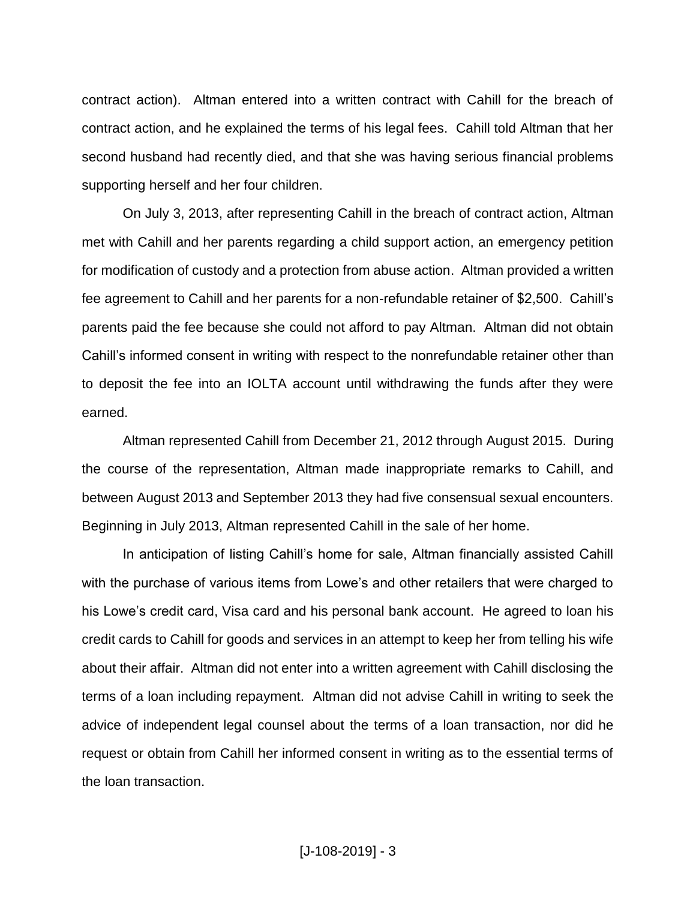contract action). Altman entered into a written contract with Cahill for the breach of contract action, and he explained the terms of his legal fees. Cahill told Altman that her second husband had recently died, and that she was having serious financial problems supporting herself and her four children.

On July 3, 2013, after representing Cahill in the breach of contract action, Altman met with Cahill and her parents regarding a child support action, an emergency petition for modification of custody and a protection from abuse action. Altman provided a written fee agreement to Cahill and her parents for a non-refundable retainer of \$2,500. Cahill's parents paid the fee because she could not afford to pay Altman. Altman did not obtain Cahill's informed consent in writing with respect to the nonrefundable retainer other than to deposit the fee into an IOLTA account until withdrawing the funds after they were earned.

Altman represented Cahill from December 21, 2012 through August 2015. During the course of the representation, Altman made inappropriate remarks to Cahill, and between August 2013 and September 2013 they had five consensual sexual encounters. Beginning in July 2013, Altman represented Cahill in the sale of her home.

In anticipation of listing Cahill's home for sale, Altman financially assisted Cahill with the purchase of various items from Lowe's and other retailers that were charged to his Lowe's credit card, Visa card and his personal bank account. He agreed to loan his credit cards to Cahill for goods and services in an attempt to keep her from telling his wife about their affair. Altman did not enter into a written agreement with Cahill disclosing the terms of a loan including repayment. Altman did not advise Cahill in writing to seek the advice of independent legal counsel about the terms of a loan transaction, nor did he request or obtain from Cahill her informed consent in writing as to the essential terms of the loan transaction.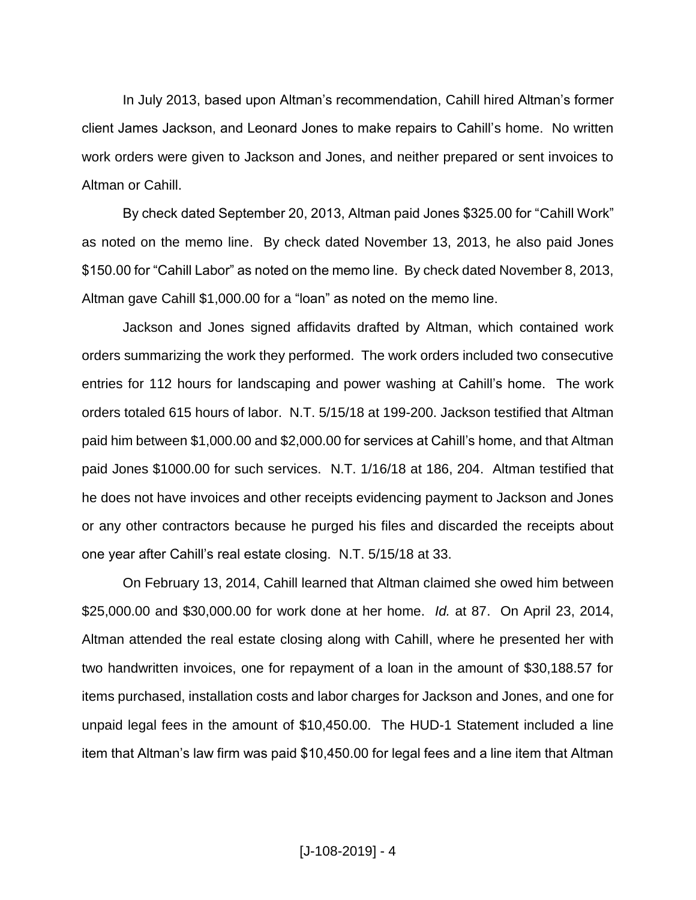In July 2013, based upon Altman's recommendation, Cahill hired Altman's former client James Jackson, and Leonard Jones to make repairs to Cahill's home. No written work orders were given to Jackson and Jones, and neither prepared or sent invoices to Altman or Cahill.

By check dated September 20, 2013, Altman paid Jones \$325.00 for "Cahill Work" as noted on the memo line. By check dated November 13, 2013, he also paid Jones \$150.00 for "Cahill Labor" as noted on the memo line. By check dated November 8, 2013, Altman gave Cahill \$1,000.00 for a "loan" as noted on the memo line.

Jackson and Jones signed affidavits drafted by Altman, which contained work orders summarizing the work they performed. The work orders included two consecutive entries for 112 hours for landscaping and power washing at Cahill's home. The work orders totaled 615 hours of labor. N.T. 5/15/18 at 199-200. Jackson testified that Altman paid him between \$1,000.00 and \$2,000.00 for services at Cahill's home, and that Altman paid Jones \$1000.00 for such services. N.T. 1/16/18 at 186, 204. Altman testified that he does not have invoices and other receipts evidencing payment to Jackson and Jones or any other contractors because he purged his files and discarded the receipts about one year after Cahill's real estate closing. N.T. 5/15/18 at 33.

On February 13, 2014, Cahill learned that Altman claimed she owed him between \$25,000.00 and \$30,000.00 for work done at her home. *Id.* at 87. On April 23, 2014, Altman attended the real estate closing along with Cahill, where he presented her with two handwritten invoices, one for repayment of a loan in the amount of \$30,188.57 for items purchased, installation costs and labor charges for Jackson and Jones, and one for unpaid legal fees in the amount of \$10,450.00. The HUD-1 Statement included a line item that Altman's law firm was paid \$10,450.00 for legal fees and a line item that Altman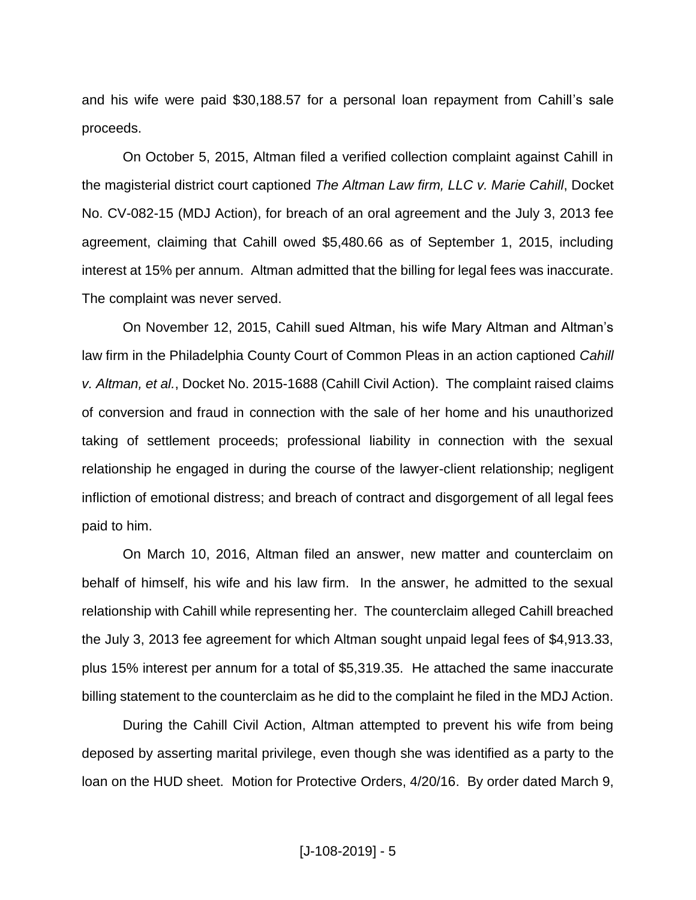and his wife were paid \$30,188.57 for a personal loan repayment from Cahill's sale proceeds.

On October 5, 2015, Altman filed a verified collection complaint against Cahill in the magisterial district court captioned *The Altman Law firm, LLC v. Marie Cahill*, Docket No. CV-082-15 (MDJ Action), for breach of an oral agreement and the July 3, 2013 fee agreement, claiming that Cahill owed \$5,480.66 as of September 1, 2015, including interest at 15% per annum. Altman admitted that the billing for legal fees was inaccurate. The complaint was never served.

On November 12, 2015, Cahill sued Altman, his wife Mary Altman and Altman's law firm in the Philadelphia County Court of Common Pleas in an action captioned *Cahill v. Altman, et al.*, Docket No. 2015-1688 (Cahill Civil Action). The complaint raised claims of conversion and fraud in connection with the sale of her home and his unauthorized taking of settlement proceeds; professional liability in connection with the sexual relationship he engaged in during the course of the lawyer-client relationship; negligent infliction of emotional distress; and breach of contract and disgorgement of all legal fees paid to him.

On March 10, 2016, Altman filed an answer, new matter and counterclaim on behalf of himself, his wife and his law firm. In the answer, he admitted to the sexual relationship with Cahill while representing her. The counterclaim alleged Cahill breached the July 3, 2013 fee agreement for which Altman sought unpaid legal fees of \$4,913.33, plus 15% interest per annum for a total of \$5,319.35. He attached the same inaccurate billing statement to the counterclaim as he did to the complaint he filed in the MDJ Action.

During the Cahill Civil Action, Altman attempted to prevent his wife from being deposed by asserting marital privilege, even though she was identified as a party to the loan on the HUD sheet. Motion for Protective Orders, 4/20/16. By order dated March 9,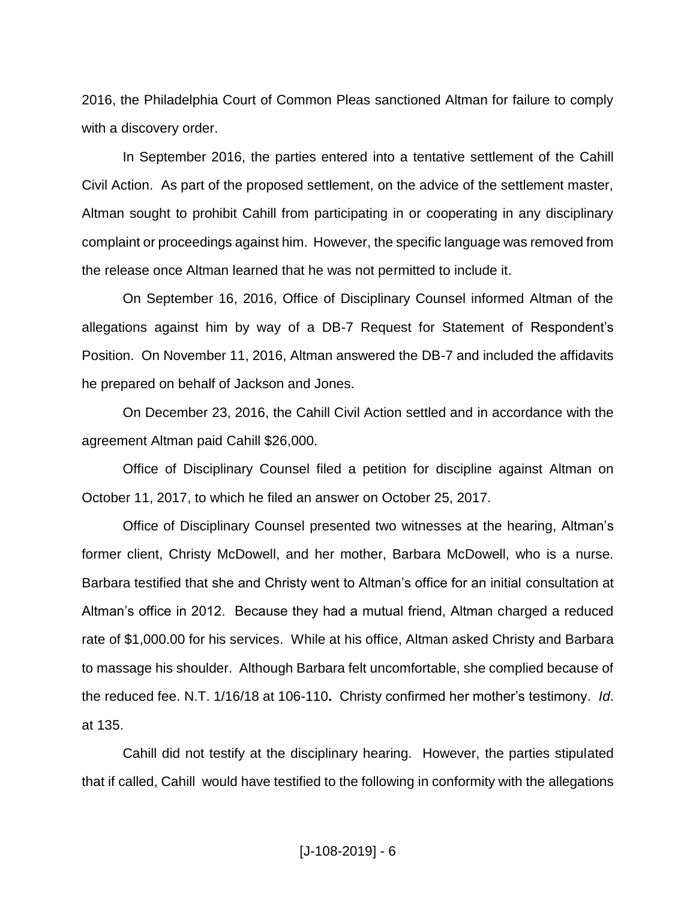2016, the Philadelphia Court of Common Pleas sanctioned Altman for failure to comply with a discovery order.

In September 2016, the parties entered into a tentative settlement of the Cahill Civil Action. As part of the proposed settlement, on the advice of the settlement master, Altman sought to prohibit Cahill from participating in or cooperating in any disciplinary complaint or proceedings against him. However, the specific language was removed from the release once Altman learned that he was not permitted to include it.

On September 16, 2016, Office of Disciplinary Counsel informed Altman of the allegations against him by way of a DB-7 Request for Statement of Respondent's Position. On November 11, 2016, Altman answered the DB-7 and included the affidavits he prepared on behalf of Jackson and Jones.

On December 23, 2016, the Cahill Civil Action settled and in accordance with the agreement Altman paid Cahill \$26,000.

Office of Disciplinary Counsel filed a petition for discipline against Altman on October 11, 2017, to which he filed an answer on October 25, 2017.

Office of Disciplinary Counsel presented two witnesses at the hearing, Altman's former client, Christy McDowell, and her mother, Barbara McDowell, who is a nurse. Barbara testified that she and Christy went to Altman's office for an initial consultation at Altman's office in 2012. Because they had a mutual friend, Altman charged a reduced rate of \$1,000.00 for his services. While at his office, Altman asked Christy and Barbara to massage his shoulder. Although Barbara felt uncomfortable, she complied because of the reduced fee. N.T. 1/16/18 at 106-110**.** Christy confirmed her mother's testimony. *Id*. at 135.

Cahill did not testify at the disciplinary hearing. However, the parties stipulated that if called, Cahill would have testified to the following in conformity with the allegations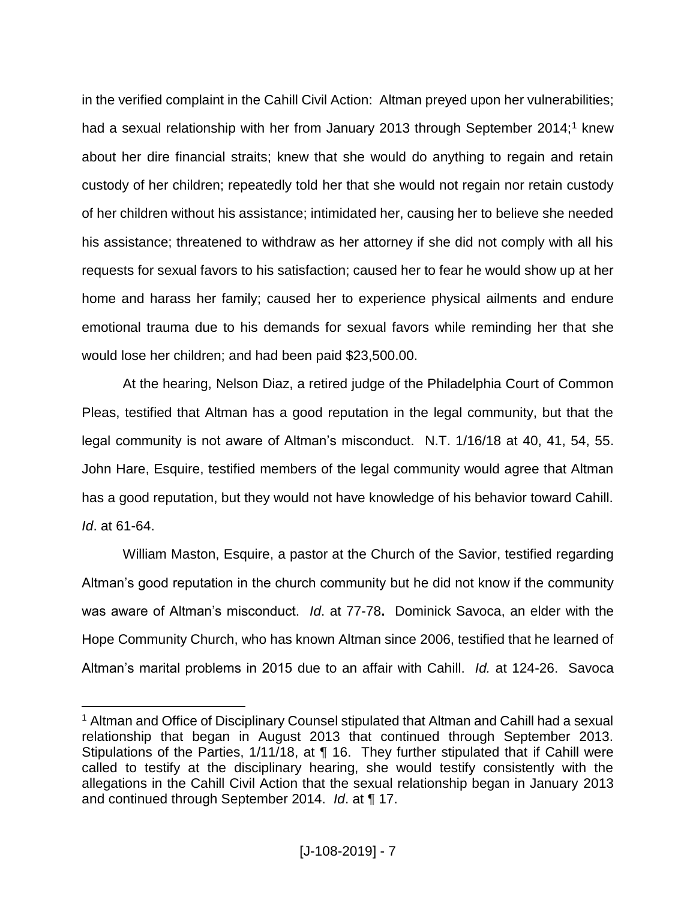in the verified complaint in the Cahill Civil Action: Altman preyed upon her vulnerabilities; had a sexual relationship with her from January 2013 through September 2014;<sup>1</sup> knew about her dire financial straits; knew that she would do anything to regain and retain custody of her children; repeatedly told her that she would not regain nor retain custody of her children without his assistance; intimidated her, causing her to believe she needed his assistance; threatened to withdraw as her attorney if she did not comply with all his requests for sexual favors to his satisfaction; caused her to fear he would show up at her home and harass her family; caused her to experience physical ailments and endure emotional trauma due to his demands for sexual favors while reminding her that she would lose her children; and had been paid \$23,500.00.

At the hearing, Nelson Diaz, a retired judge of the Philadelphia Court of Common Pleas, testified that Altman has a good reputation in the legal community, but that the legal community is not aware of Altman's misconduct. N.T. 1/16/18 at 40, 41, 54, 55. John Hare, Esquire, testified members of the legal community would agree that Altman has a good reputation, but they would not have knowledge of his behavior toward Cahill. *Id*. at 61-64.

William Maston, Esquire, a pastor at the Church of the Savior, testified regarding Altman's good reputation in the church community but he did not know if the community was aware of Altman's misconduct. *Id*. at 77-78**.** Dominick Savoca, an elder with the Hope Community Church, who has known Altman since 2006, testified that he learned of Altman's marital problems in 2015 due to an affair with Cahill. *Id.* at 124-26. Savoca

 $\overline{a}$ 

<sup>1</sup> Altman and Office of Disciplinary Counsel stipulated that Altman and Cahill had a sexual relationship that began in August 2013 that continued through September 2013. Stipulations of the Parties, 1/11/18, at ¶ 16. They further stipulated that if Cahill were called to testify at the disciplinary hearing, she would testify consistently with the allegations in the Cahill Civil Action that the sexual relationship began in January 2013 and continued through September 2014. *Id*. at ¶ 17.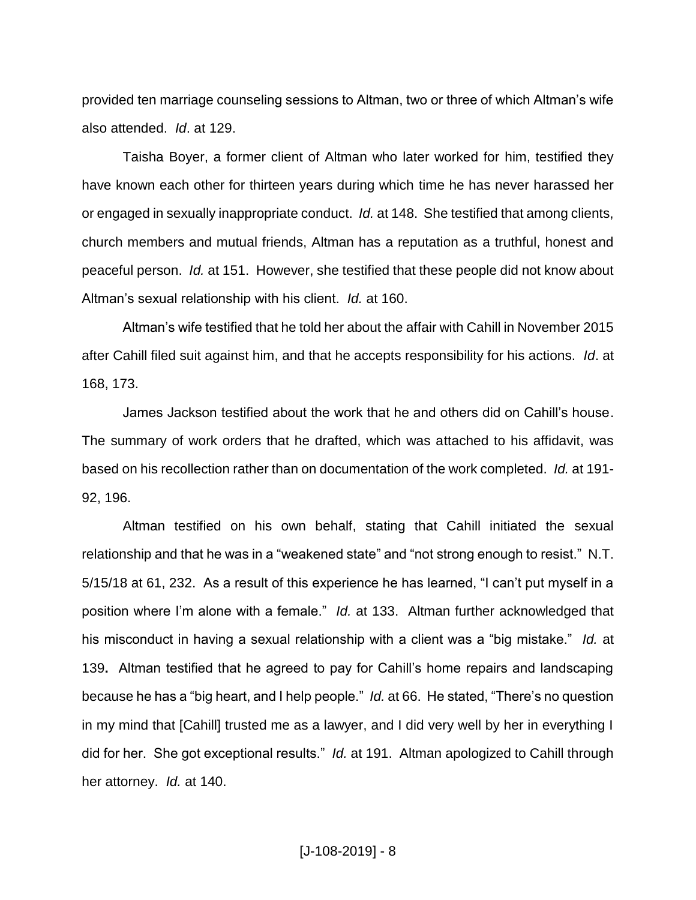provided ten marriage counseling sessions to Altman, two or three of which Altman's wife also attended. *Id*. at 129.

Taisha Boyer, a former client of Altman who later worked for him, testified they have known each other for thirteen years during which time he has never harassed her or engaged in sexually inappropriate conduct. *Id.* at 148. She testified that among clients, church members and mutual friends, Altman has a reputation as a truthful, honest and peaceful person. *Id.* at 151. However, she testified that these people did not know about Altman's sexual relationship with his client. *Id.* at 160.

Altman's wife testified that he told her about the affair with Cahill in November 2015 after Cahill filed suit against him, and that he accepts responsibility for his actions. *Id*. at 168, 173.

James Jackson testified about the work that he and others did on Cahill's house. The summary of work orders that he drafted, which was attached to his affidavit, was based on his recollection rather than on documentation of the work completed. *Id.* at 191- 92, 196.

Altman testified on his own behalf, stating that Cahill initiated the sexual relationship and that he was in a "weakened state" and "not strong enough to resist." N.T. 5/15/18 at 61, 232. As a result of this experience he has learned, "I can't put myself in a position where I'm alone with a female." *Id.* at 133. Altman further acknowledged that his misconduct in having a sexual relationship with a client was a "big mistake." *Id.* at 139**.** Altman testified that he agreed to pay for Cahill's home repairs and landscaping because he has a "big heart, and I help people." *Id.* at 66. He stated, "There's no question in my mind that [Cahill] trusted me as a lawyer, and I did very well by her in everything I did for her. She got exceptional results." *Id.* at 191. Altman apologized to Cahill through her attorney. *Id.* at 140.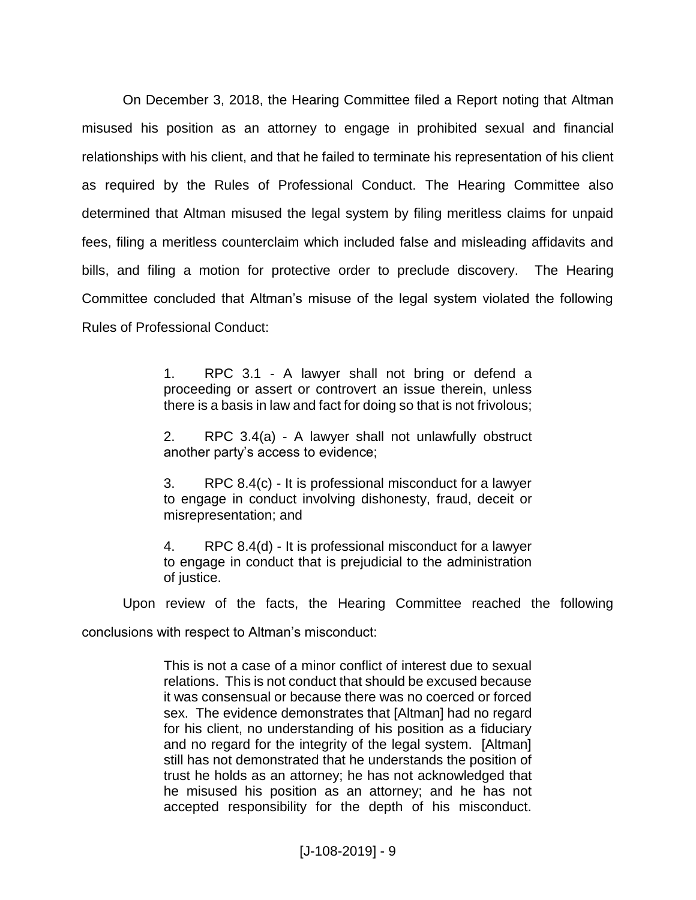On December 3, 2018, the Hearing Committee filed a Report noting that Altman misused his position as an attorney to engage in prohibited sexual and financial relationships with his client, and that he failed to terminate his representation of his client as required by the Rules of Professional Conduct. The Hearing Committee also determined that Altman misused the legal system by filing meritless claims for unpaid fees, filing a meritless counterclaim which included false and misleading affidavits and bills, and filing a motion for protective order to preclude discovery. The Hearing Committee concluded that Altman's misuse of the legal system violated the following Rules of Professional Conduct:

> 1. RPC 3.1 - A lawyer shall not bring or defend a proceeding or assert or controvert an issue therein, unless there is a basis in law and fact for doing so that is not frivolous;

> 2. RPC 3.4(a) - A lawyer shall not unlawfully obstruct another party's access to evidence;

> 3. RPC 8.4(c) - It is professional misconduct for a lawyer to engage in conduct involving dishonesty, fraud, deceit or misrepresentation; and

> 4. RPC 8.4(d) - It is professional misconduct for a lawyer to engage in conduct that is prejudicial to the administration of justice.

Upon review of the facts, the Hearing Committee reached the following

conclusions with respect to Altman's misconduct:

This is not a case of a minor conflict of interest due to sexual relations. This is not conduct that should be excused because it was consensual or because there was no coerced or forced sex. The evidence demonstrates that [Altman] had no regard for his client, no understanding of his position as a fiduciary and no regard for the integrity of the legal system. [Altman] still has not demonstrated that he understands the position of trust he holds as an attorney; he has not acknowledged that he misused his position as an attorney; and he has not accepted responsibility for the depth of his misconduct.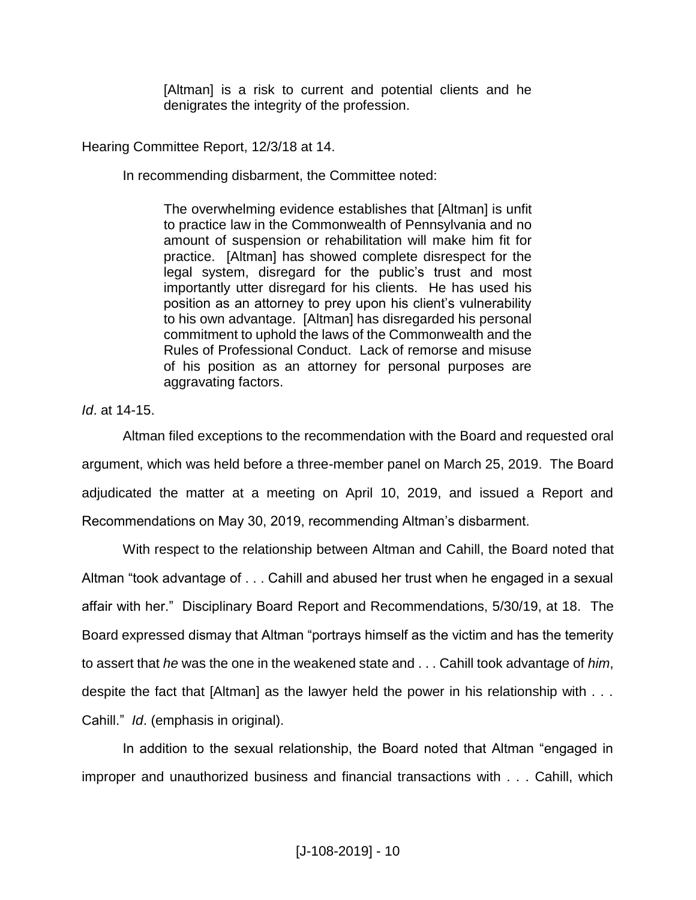[Altman] is a risk to current and potential clients and he denigrates the integrity of the profession.

Hearing Committee Report, 12/3/18 at 14.

In recommending disbarment, the Committee noted:

The overwhelming evidence establishes that [Altman] is unfit to practice law in the Commonwealth of Pennsylvania and no amount of suspension or rehabilitation will make him fit for practice. [Altman] has showed complete disrespect for the legal system, disregard for the public's trust and most importantly utter disregard for his clients. He has used his position as an attorney to prey upon his client's vulnerability to his own advantage. [Altman] has disregarded his personal commitment to uphold the laws of the Commonwealth and the Rules of Professional Conduct. Lack of remorse and misuse of his position as an attorney for personal purposes are aggravating factors.

*Id*. at 14-15.

Altman filed exceptions to the recommendation with the Board and requested oral argument, which was held before a three-member panel on March 25, 2019. The Board adjudicated the matter at a meeting on April 10, 2019, and issued a Report and Recommendations on May 30, 2019, recommending Altman's disbarment.

With respect to the relationship between Altman and Cahill, the Board noted that Altman "took advantage of . . . Cahill and abused her trust when he engaged in a sexual affair with her." Disciplinary Board Report and Recommendations, 5/30/19, at 18. The Board expressed dismay that Altman "portrays himself as the victim and has the temerity to assert that *he* was the one in the weakened state and . . . Cahill took advantage of *him*, despite the fact that [Altman] as the lawyer held the power in his relationship with . . . Cahill." *Id*. (emphasis in original).

In addition to the sexual relationship, the Board noted that Altman "engaged in improper and unauthorized business and financial transactions with . . . Cahill, which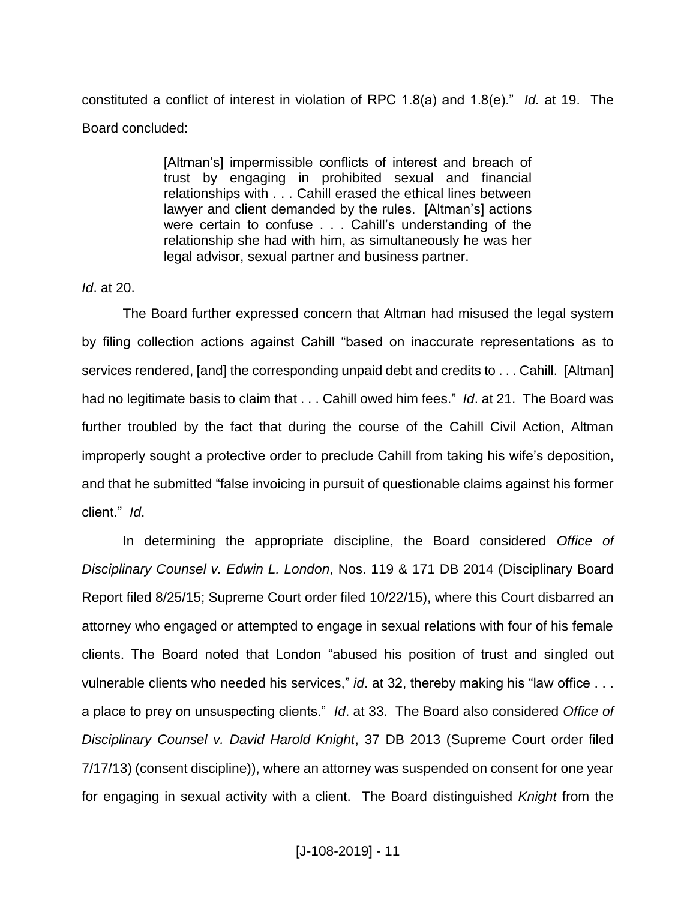constituted a conflict of interest in violation of RPC 1.8(a) and 1.8(e)." *Id.* at 19. The Board concluded:

> [Altman's] impermissible conflicts of interest and breach of trust by engaging in prohibited sexual and financial relationships with . . . Cahill erased the ethical lines between lawyer and client demanded by the rules. [Altman's] actions were certain to confuse . . . Cahill's understanding of the relationship she had with him, as simultaneously he was her legal advisor, sexual partner and business partner.

# *Id*. at 20.

The Board further expressed concern that Altman had misused the legal system by filing collection actions against Cahill "based on inaccurate representations as to services rendered, [and] the corresponding unpaid debt and credits to . . . Cahill. [Altman] had no legitimate basis to claim that . . . Cahill owed him fees." *Id*. at 21. The Board was further troubled by the fact that during the course of the Cahill Civil Action, Altman improperly sought a protective order to preclude Cahill from taking his wife's deposition, and that he submitted "false invoicing in pursuit of questionable claims against his former client." *Id*.

In determining the appropriate discipline, the Board considered *Office of Disciplinary Counsel v. Edwin L. London*, Nos. 119 & 171 DB 2014 (Disciplinary Board Report filed 8/25/15; Supreme Court order filed 10/22/15), where this Court disbarred an attorney who engaged or attempted to engage in sexual relations with four of his female clients. The Board noted that London "abused his position of trust and singled out vulnerable clients who needed his services," *id*. at 32, thereby making his "law office . . . a place to prey on unsuspecting clients." *Id*. at 33. The Board also considered *Office of Disciplinary Counsel v. David Harold Knight*, 37 DB 2013 (Supreme Court order filed 7/17/13) (consent discipline)), where an attorney was suspended on consent for one year for engaging in sexual activity with a client. The Board distinguished *Knight* from the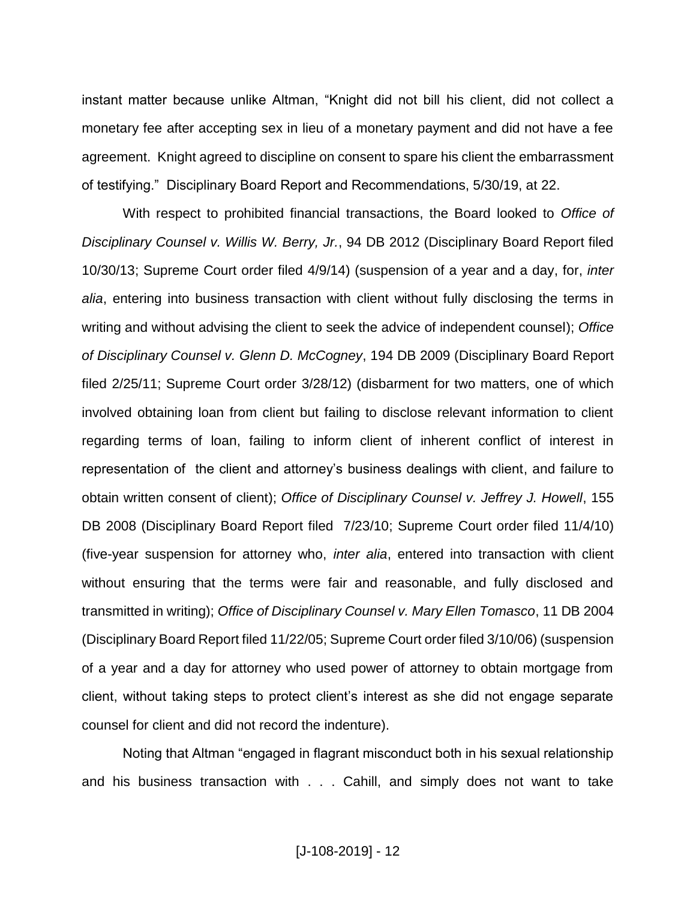instant matter because unlike Altman, "Knight did not bill his client, did not collect a monetary fee after accepting sex in lieu of a monetary payment and did not have a fee agreement. Knight agreed to discipline on consent to spare his client the embarrassment of testifying." Disciplinary Board Report and Recommendations, 5/30/19, at 22.

With respect to prohibited financial transactions, the Board looked to *Office of Disciplinary Counsel v. Willis W. Berry, Jr.*, 94 DB 2012 (Disciplinary Board Report filed 10/30/13; Supreme Court order filed 4/9/14) (suspension of a year and a day, for, *inter alia*, entering into business transaction with client without fully disclosing the terms in writing and without advising the client to seek the advice of independent counsel); *Office of Disciplinary Counsel v. Glenn D. McCogney*, 194 DB 2009 (Disciplinary Board Report filed 2/25/11; Supreme Court order 3/28/12) (disbarment for two matters, one of which involved obtaining loan from client but failing to disclose relevant information to client regarding terms of loan, failing to inform client of inherent conflict of interest in representation of the client and attorney's business dealings with client, and failure to obtain written consent of client); *Office of Disciplinary Counsel v. Jeffrey J. Howell*, 155 DB 2008 (Disciplinary Board Report filed 7/23/10; Supreme Court order filed 11/4/10) (five-year suspension for attorney who, *inter alia*, entered into transaction with client without ensuring that the terms were fair and reasonable, and fully disclosed and transmitted in writing); *Office of Disciplinary Counsel v. Mary Ellen Tomasco*, 11 DB 2004 (Disciplinary Board Report filed 11/22/05; Supreme Court order filed 3/10/06) (suspension of a year and a day for attorney who used power of attorney to obtain mortgage from client, without taking steps to protect client's interest as she did not engage separate counsel for client and did not record the indenture).

Noting that Altman "engaged in flagrant misconduct both in his sexual relationship and his business transaction with . . . Cahill, and simply does not want to take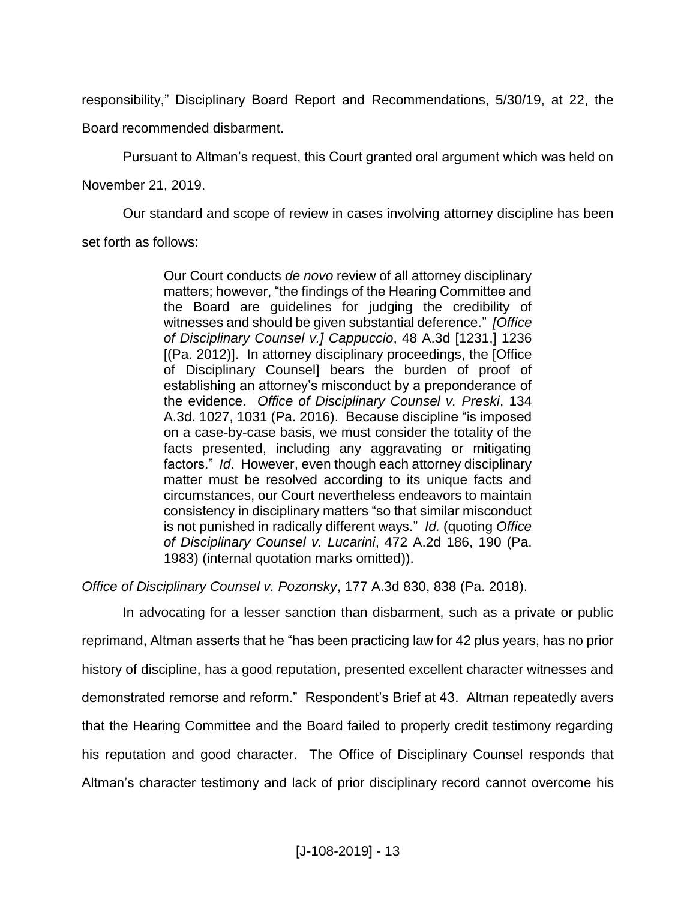responsibility," Disciplinary Board Report and Recommendations, 5/30/19, at 22, the Board recommended disbarment.

Pursuant to Altman's request, this Court granted oral argument which was held on

November 21, 2019.

Our standard and scope of review in cases involving attorney discipline has been

set forth as follows:

Our Court conducts *de novo* review of all attorney disciplinary matters; however, "the findings of the Hearing Committee and the Board are guidelines for judging the credibility of witnesses and should be given substantial deference." *[Office of Disciplinary Counsel v.] Cappuccio*, 48 A.3d [1231,] 1236 [(Pa. 2012)]. In attorney disciplinary proceedings, the [Office of Disciplinary Counsel] bears the burden of proof of establishing an attorney's misconduct by a preponderance of the evidence. *Office of Disciplinary Counsel v. Preski*, 134 A.3d. 1027, 1031 (Pa. 2016). Because discipline "is imposed on a case-by-case basis, we must consider the totality of the facts presented, including any aggravating or mitigating factors." *Id*. However, even though each attorney disciplinary matter must be resolved according to its unique facts and circumstances, our Court nevertheless endeavors to maintain consistency in disciplinary matters "so that similar misconduct is not punished in radically different ways." *Id.* (quoting *Office of Disciplinary Counsel v. Lucarini*, 472 A.2d 186, 190 (Pa. 1983) (internal quotation marks omitted)).

*Office of Disciplinary Counsel v. Pozonsky*, 177 A.3d 830, 838 (Pa. 2018).

In advocating for a lesser sanction than disbarment, such as a private or public reprimand, Altman asserts that he "has been practicing law for 42 plus years, has no prior history of discipline, has a good reputation, presented excellent character witnesses and demonstrated remorse and reform." Respondent's Brief at 43. Altman repeatedly avers that the Hearing Committee and the Board failed to properly credit testimony regarding his reputation and good character. The Office of Disciplinary Counsel responds that Altman's character testimony and lack of prior disciplinary record cannot overcome his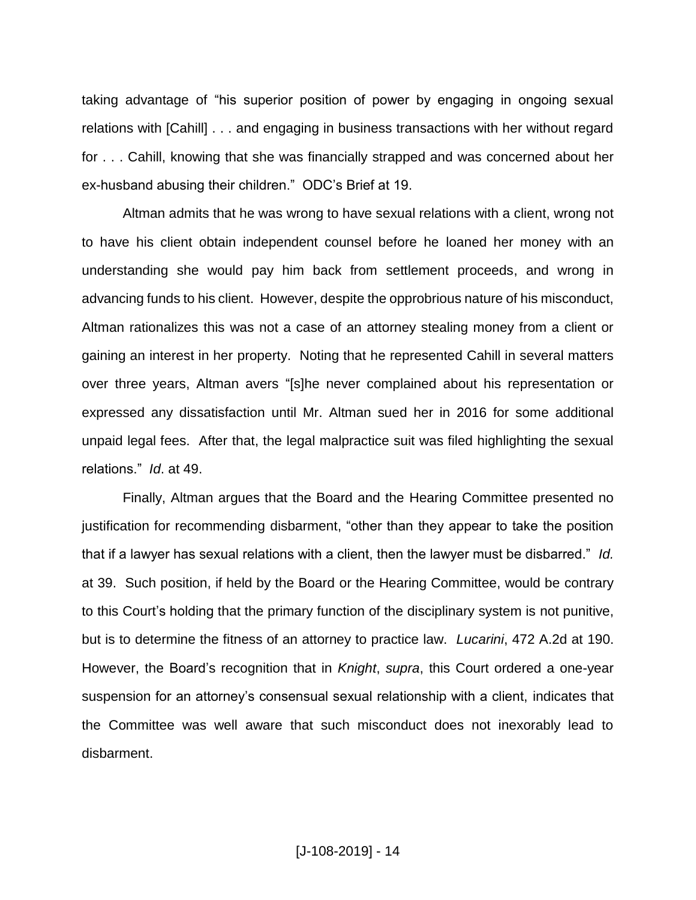taking advantage of "his superior position of power by engaging in ongoing sexual relations with [Cahill] . . . and engaging in business transactions with her without regard for . . . Cahill, knowing that she was financially strapped and was concerned about her ex-husband abusing their children." ODC's Brief at 19.

Altman admits that he was wrong to have sexual relations with a client, wrong not to have his client obtain independent counsel before he loaned her money with an understanding she would pay him back from settlement proceeds, and wrong in advancing funds to his client. However, despite the opprobrious nature of his misconduct, Altman rationalizes this was not a case of an attorney stealing money from a client or gaining an interest in her property. Noting that he represented Cahill in several matters over three years, Altman avers "[s]he never complained about his representation or expressed any dissatisfaction until Mr. Altman sued her in 2016 for some additional unpaid legal fees. After that, the legal malpractice suit was filed highlighting the sexual relations." *Id*. at 49.

Finally, Altman argues that the Board and the Hearing Committee presented no justification for recommending disbarment, "other than they appear to take the position that if a lawyer has sexual relations with a client, then the lawyer must be disbarred." *Id.* at 39. Such position, if held by the Board or the Hearing Committee, would be contrary to this Court's holding that the primary function of the disciplinary system is not punitive, but is to determine the fitness of an attorney to practice law. *Lucarini*, 472 A.2d at 190. However, the Board's recognition that in *Knight*, *supra*, this Court ordered a one-year suspension for an attorney's consensual sexual relationship with a client, indicates that the Committee was well aware that such misconduct does not inexorably lead to disbarment.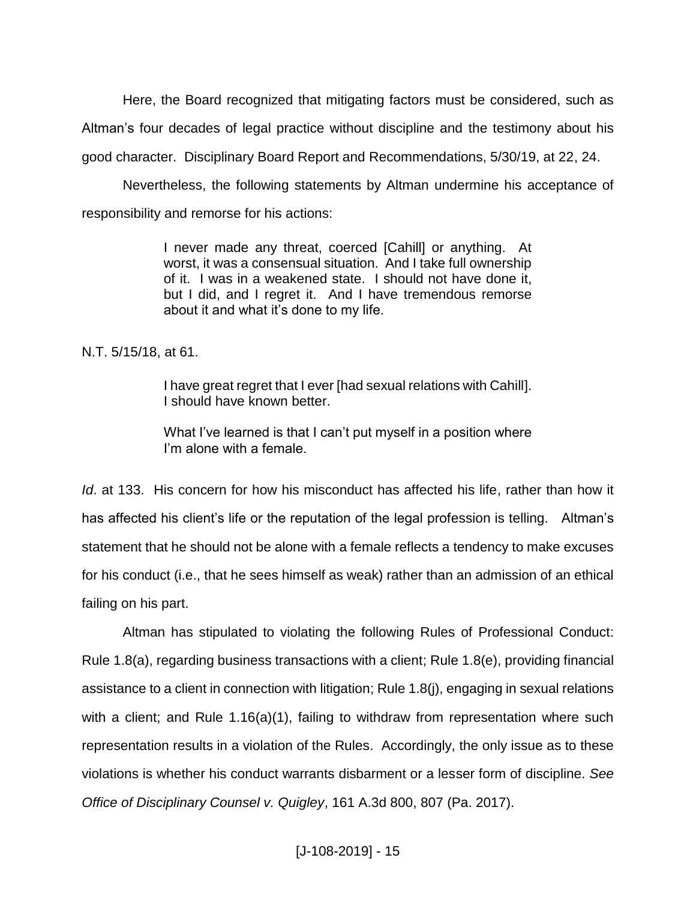Here, the Board recognized that mitigating factors must be considered, such as Altman's four decades of legal practice without discipline and the testimony about his good character. Disciplinary Board Report and Recommendations, 5/30/19, at 22, 24.

Nevertheless, the following statements by Altman undermine his acceptance of responsibility and remorse for his actions:

> I never made any threat, coerced [Cahill] or anything. At worst, it was a consensual situation. And I take full ownership of it. I was in a weakened state. I should not have done it, but I did, and I regret it. And I have tremendous remorse about it and what it's done to my life.

N.T. 5/15/18, at 61.

I have great regret that I ever [had sexual relations with Cahill]. I should have known better.

What I've learned is that I can't put myself in a position where I'm alone with a female.

*Id*. at 133. His concern for how his misconduct has affected his life, rather than how it has affected his client's life or the reputation of the legal profession is telling. Altman's statement that he should not be alone with a female reflects a tendency to make excuses for his conduct (i.e., that he sees himself as weak) rather than an admission of an ethical failing on his part.

Altman has stipulated to violating the following Rules of Professional Conduct: Rule 1.8(a), regarding business transactions with a client; Rule 1.8(e), providing financial assistance to a client in connection with litigation; Rule 1.8(j), engaging in sexual relations with a client; and Rule 1.16(a)(1), failing to withdraw from representation where such representation results in a violation of the Rules. Accordingly, the only issue as to these violations is whether his conduct warrants disbarment or a lesser form of discipline. *See Office of Disciplinary Counsel v. Quigley*, 161 A.3d 800, 807 (Pa. 2017).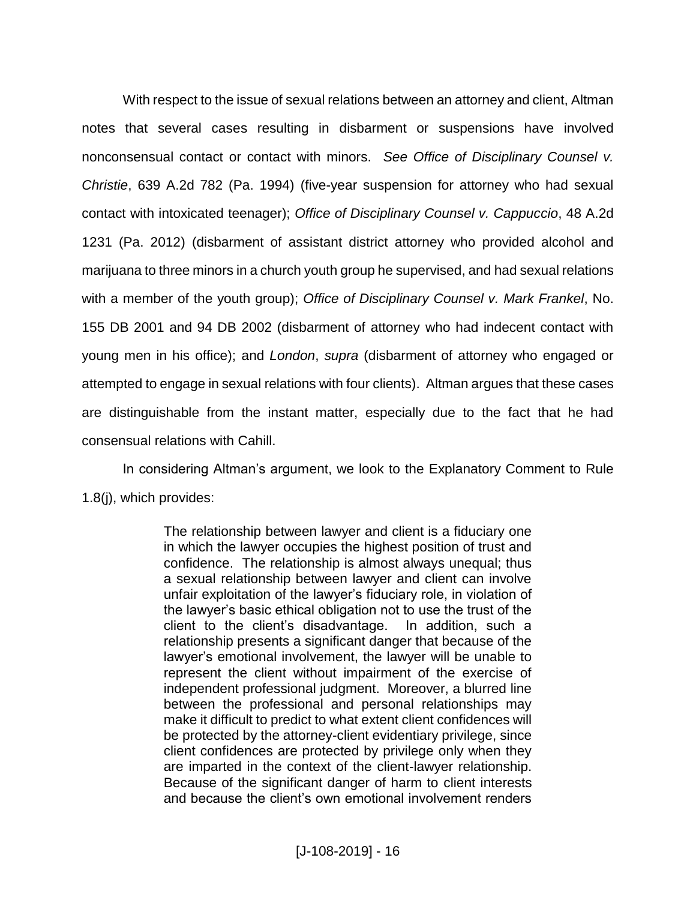With respect to the issue of sexual relations between an attorney and client, Altman notes that several cases resulting in disbarment or suspensions have involved nonconsensual contact or contact with minors. *See Office of Disciplinary Counsel v. Christie*, 639 A.2d 782 (Pa. 1994) (five-year suspension for attorney who had sexual contact with intoxicated teenager); *Office of Disciplinary Counsel v. Cappuccio*, 48 A.2d 1231 (Pa. 2012) (disbarment of assistant district attorney who provided alcohol and marijuana to three minors in a church youth group he supervised, and had sexual relations with a member of the youth group); *Office of Disciplinary Counsel v. Mark Frankel*, No. 155 DB 2001 and 94 DB 2002 (disbarment of attorney who had indecent contact with young men in his office); and *London*, *supra* (disbarment of attorney who engaged or attempted to engage in sexual relations with four clients). Altman argues that these cases are distinguishable from the instant matter, especially due to the fact that he had consensual relations with Cahill.

In considering Altman's argument, we look to the Explanatory Comment to Rule 1.8(j), which provides:

> The relationship between lawyer and client is a fiduciary one in which the lawyer occupies the highest position of trust and confidence. The relationship is almost always unequal; thus a sexual relationship between lawyer and client can involve unfair exploitation of the lawyer's fiduciary role, in violation of the lawyer's basic ethical obligation not to use the trust of the client to the client's disadvantage. In addition, such a relationship presents a significant danger that because of the lawyer's emotional involvement, the lawyer will be unable to represent the client without impairment of the exercise of independent professional judgment. Moreover, a blurred line between the professional and personal relationships may make it difficult to predict to what extent client confidences will be protected by the attorney-client evidentiary privilege, since client confidences are protected by privilege only when they are imparted in the context of the client-lawyer relationship. Because of the significant danger of harm to client interests and because the client's own emotional involvement renders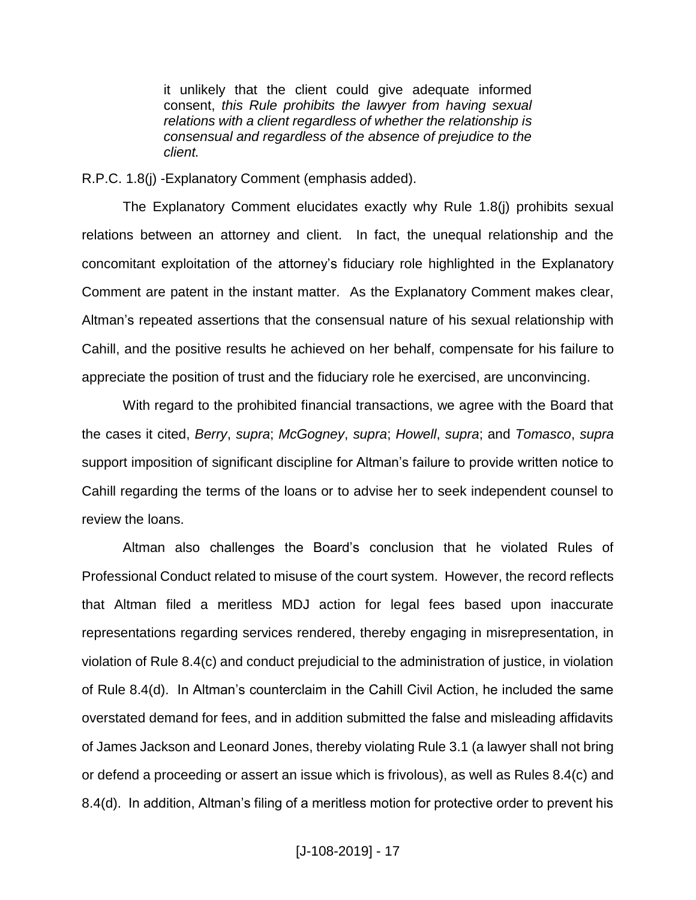it unlikely that the client could give adequate informed consent, *this Rule prohibits the lawyer from having sexual relations with a client regardless of whether the relationship is consensual and regardless of the absence of prejudice to the client.*

R.P.C. 1.8(j) -Explanatory Comment (emphasis added).

The Explanatory Comment elucidates exactly why Rule 1.8(j) prohibits sexual relations between an attorney and client. In fact, the unequal relationship and the concomitant exploitation of the attorney's fiduciary role highlighted in the Explanatory Comment are patent in the instant matter. As the Explanatory Comment makes clear, Altman's repeated assertions that the consensual nature of his sexual relationship with Cahill, and the positive results he achieved on her behalf, compensate for his failure to appreciate the position of trust and the fiduciary role he exercised, are unconvincing.

With regard to the prohibited financial transactions, we agree with the Board that the cases it cited, *Berry*, *supra*; *McGogney*, *supra*; *Howell*, *supra*; and *Tomasco*, *supra* support imposition of significant discipline for Altman's failure to provide written notice to Cahill regarding the terms of the loans or to advise her to seek independent counsel to review the loans.

Altman also challenges the Board's conclusion that he violated Rules of Professional Conduct related to misuse of the court system. However, the record reflects that Altman filed a meritless MDJ action for legal fees based upon inaccurate representations regarding services rendered, thereby engaging in misrepresentation, in violation of Rule 8.4(c) and conduct prejudicial to the administration of justice, in violation of Rule 8.4(d). In Altman's counterclaim in the Cahill Civil Action, he included the same overstated demand for fees, and in addition submitted the false and misleading affidavits of James Jackson and Leonard Jones, thereby violating Rule 3.1 (a lawyer shall not bring or defend a proceeding or assert an issue which is frivolous), as well as Rules 8.4(c) and 8.4(d). In addition, Altman's filing of a meritless motion for protective order to prevent his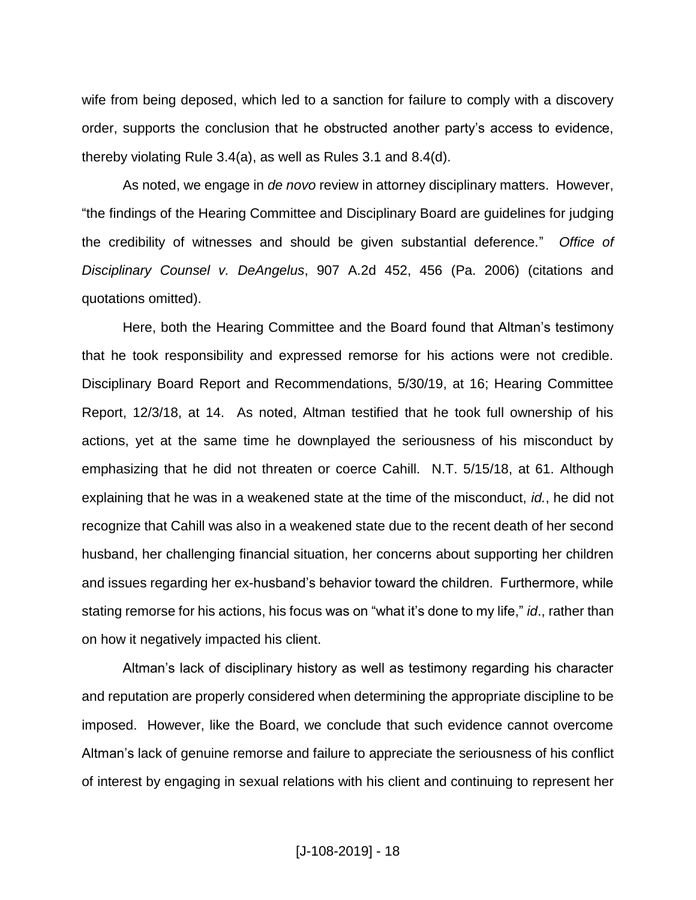wife from being deposed, which led to a sanction for failure to comply with a discovery order, supports the conclusion that he obstructed another party's access to evidence, thereby violating Rule 3.4(a), as well as Rules 3.1 and 8.4(d).

As noted, we engage in *de novo* review in attorney disciplinary matters. However, "the findings of the Hearing Committee and Disciplinary Board are guidelines for judging the credibility of witnesses and should be given substantial deference." *Office of Disciplinary Counsel v. DeAngelus*, 907 A.2d 452, 456 (Pa. 2006) (citations and quotations omitted).

Here, both the Hearing Committee and the Board found that Altman's testimony that he took responsibility and expressed remorse for his actions were not credible. Disciplinary Board Report and Recommendations, 5/30/19, at 16; Hearing Committee Report, 12/3/18, at 14. As noted, Altman testified that he took full ownership of his actions, yet at the same time he downplayed the seriousness of his misconduct by emphasizing that he did not threaten or coerce Cahill. N.T. 5/15/18, at 61. Although explaining that he was in a weakened state at the time of the misconduct, *id.*, he did not recognize that Cahill was also in a weakened state due to the recent death of her second husband, her challenging financial situation, her concerns about supporting her children and issues regarding her ex-husband's behavior toward the children. Furthermore, while stating remorse for his actions, his focus was on "what it's done to my life," *id*., rather than on how it negatively impacted his client.

Altman's lack of disciplinary history as well as testimony regarding his character and reputation are properly considered when determining the appropriate discipline to be imposed. However, like the Board, we conclude that such evidence cannot overcome Altman's lack of genuine remorse and failure to appreciate the seriousness of his conflict of interest by engaging in sexual relations with his client and continuing to represent her